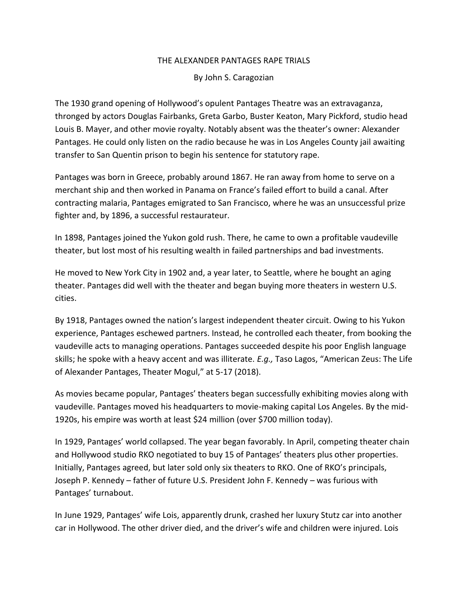## THE ALEXANDER PANTAGES RAPE TRIALS

By John S. Caragozian

The 1930 grand opening of Hollywood's opulent Pantages Theatre was an extravaganza, thronged by actors Douglas Fairbanks, Greta Garbo, Buster Keaton, Mary Pickford, studio head Louis B. Mayer, and other movie royalty. Notably absent was the theater's owner: Alexander Pantages. He could only listen on the radio because he was in Los Angeles County jail awaiting transfer to San Quentin prison to begin his sentence for statutory rape.

Pantages was born in Greece, probably around 1867. He ran away from home to serve on a merchant ship and then worked in Panama on France's failed effort to build a canal. After contracting malaria, Pantages emigrated to San Francisco, where he was an unsuccessful prize fighter and, by 1896, a successful restaurateur.

In 1898, Pantages joined the Yukon gold rush. There, he came to own a profitable vaudeville theater, but lost most of his resulting wealth in failed partnerships and bad investments.

He moved to New York City in 1902 and, a year later, to Seattle, where he bought an aging theater. Pantages did well with the theater and began buying more theaters in western U.S. cities.

By 1918, Pantages owned the nation's largest independent theater circuit. Owing to his Yukon experience, Pantages eschewed partners. Instead, he controlled each theater, from booking the vaudeville acts to managing operations. Pantages succeeded despite his poor English language skills; he spoke with a heavy accent and was illiterate. *E.g.,* Taso Lagos, "American Zeus: The Life of Alexander Pantages, Theater Mogul," at 5-17 (2018).

As movies became popular, Pantages' theaters began successfully exhibiting movies along with vaudeville. Pantages moved his headquarters to movie-making capital Los Angeles. By the mid-1920s, his empire was worth at least \$24 million (over \$700 million today).

In 1929, Pantages' world collapsed. The year began favorably. In April, competing theater chain and Hollywood studio RKO negotiated to buy 15 of Pantages' theaters plus other properties. Initially, Pantages agreed, but later sold only six theaters to RKO. One of RKO's principals, Joseph P. Kennedy – father of future U.S. President John F. Kennedy – was furious with Pantages' turnabout.

In June 1929, Pantages' wife Lois, apparently drunk, crashed her luxury Stutz car into another car in Hollywood. The other driver died, and the driver's wife and children were injured. Lois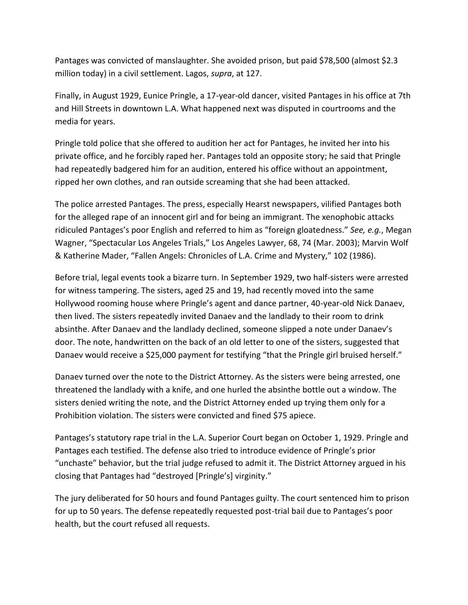Pantages was convicted of manslaughter. She avoided prison, but paid \$78,500 (almost \$2.3 million today) in a civil settlement. Lagos, *supra*, at 127.

Finally, in August 1929, Eunice Pringle, a 17-year-old dancer, visited Pantages in his office at 7th and Hill Streets in downtown L.A. What happened next was disputed in courtrooms and the media for years.

Pringle told police that she offered to audition her act for Pantages, he invited her into his private office, and he forcibly raped her. Pantages told an opposite story; he said that Pringle had repeatedly badgered him for an audition, entered his office without an appointment, ripped her own clothes, and ran outside screaming that she had been attacked.

The police arrested Pantages. The press, especially Hearst newspapers, vilified Pantages both for the alleged rape of an innocent girl and for being an immigrant. The xenophobic attacks ridiculed Pantages's poor English and referred to him as "foreign gloatedness." *See, e.g.*, Megan Wagner, "Spectacular Los Angeles Trials," Los Angeles Lawyer, 68, 74 (Mar. 2003); Marvin Wolf & Katherine Mader, "Fallen Angels: Chronicles of L.A. Crime and Mystery," 102 (1986).

Before trial, legal events took a bizarre turn. In September 1929, two half-sisters were arrested for witness tampering. The sisters, aged 25 and 19, had recently moved into the same Hollywood rooming house where Pringle's agent and dance partner, 40-year-old Nick Danaev, then lived. The sisters repeatedly invited Danaev and the landlady to their room to drink absinthe. After Danaev and the landlady declined, someone slipped a note under Danaev's door. The note, handwritten on the back of an old letter to one of the sisters, suggested that Danaev would receive a \$25,000 payment for testifying "that the Pringle girl bruised herself."

Danaev turned over the note to the District Attorney. As the sisters were being arrested, one threatened the landlady with a knife, and one hurled the absinthe bottle out a window. The sisters denied writing the note, and the District Attorney ended up trying them only for a Prohibition violation. The sisters were convicted and fined \$75 apiece.

Pantages's statutory rape trial in the L.A. Superior Court began on October 1, 1929. Pringle and Pantages each testified. The defense also tried to introduce evidence of Pringle's prior "unchaste" behavior, but the trial judge refused to admit it. The District Attorney argued in his closing that Pantages had "destroyed [Pringle's] virginity."

The jury deliberated for 50 hours and found Pantages guilty. The court sentenced him to prison for up to 50 years. The defense repeatedly requested post-trial bail due to Pantages's poor health, but the court refused all requests.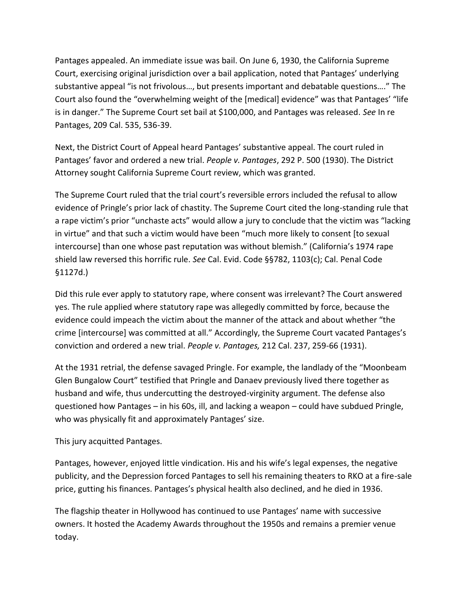Pantages appealed. An immediate issue was bail. On June 6, 1930, the California Supreme Court, exercising original jurisdiction over a bail application, noted that Pantages' underlying substantive appeal "is not frivolous…, but presents important and debatable questions…." The Court also found the "overwhelming weight of the [medical] evidence" was that Pantages' "life is in danger." The Supreme Court set bail at \$100,000, and Pantages was released. *See* In re Pantages, 209 Cal. 535, 536-39.

Next, the District Court of Appeal heard Pantages' substantive appeal. The court ruled in Pantages' favor and ordered a new trial. *People v. Pantages*, 292 P. 500 (1930). The District Attorney sought California Supreme Court review, which was granted.

The Supreme Court ruled that the trial court's reversible errors included the refusal to allow evidence of Pringle's prior lack of chastity. The Supreme Court cited the long-standing rule that a rape victim's prior "unchaste acts" would allow a jury to conclude that the victim was "lacking in virtue" and that such a victim would have been "much more likely to consent [to sexual intercourse] than one whose past reputation was without blemish." (California's 1974 rape shield law reversed this horrific rule. *See* Cal. Evid. Code §§782, 1103(c); Cal. Penal Code §1127d.)

Did this rule ever apply to statutory rape, where consent was irrelevant? The Court answered yes. The rule applied where statutory rape was allegedly committed by force, because the evidence could impeach the victim about the manner of the attack and about whether "the crime [intercourse] was committed at all." Accordingly, the Supreme Court vacated Pantages's conviction and ordered a new trial. *People v. Pantages,* 212 Cal. 237, 259-66 (1931).

At the 1931 retrial, the defense savaged Pringle. For example, the landlady of the "Moonbeam Glen Bungalow Court" testified that Pringle and Danaev previously lived there together as husband and wife, thus undercutting the destroyed-virginity argument. The defense also questioned how Pantages – in his 60s, ill, and lacking a weapon – could have subdued Pringle, who was physically fit and approximately Pantages' size.

This jury acquitted Pantages.

Pantages, however, enjoyed little vindication. His and his wife's legal expenses, the negative publicity, and the Depression forced Pantages to sell his remaining theaters to RKO at a fire-sale price, gutting his finances. Pantages's physical health also declined, and he died in 1936.

The flagship theater in Hollywood has continued to use Pantages' name with successive owners. It hosted the Academy Awards throughout the 1950s and remains a premier venue today.